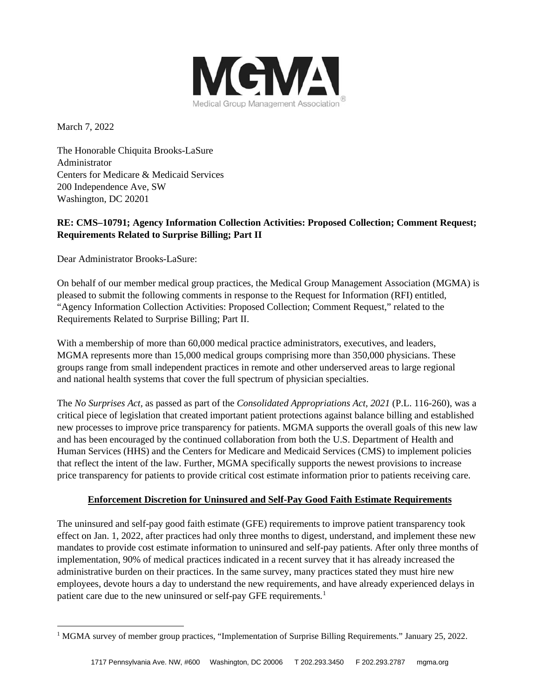

March 7, 2022

The Honorable Chiquita Brooks-LaSure Administrator Centers for Medicare & Medicaid Services 200 Independence Ave, SW Washington, DC 20201

# **RE: CMS–10791; Agency Information Collection Activities: Proposed Collection; Comment Request; Requirements Related to Surprise Billing; Part II**

Dear Administrator Brooks-LaSure:

On behalf of our member medical group practices, the Medical Group Management Association (MGMA) is pleased to submit the following comments in response to the Request for Information (RFI) entitled, "Agency Information Collection Activities: Proposed Collection; Comment Request," related to the Requirements Related to Surprise Billing; Part II.

With a membership of more than 60,000 medical practice administrators, executives, and leaders, MGMA represents more than 15,000 medical groups comprising more than 350,000 physicians. These groups range from small independent practices in remote and other underserved areas to large regional and national health systems that cover the full spectrum of physician specialties.

The *No Surprises Act,* as passed as part of the *Consolidated Appropriations Act, 2021* (P.L. 116-260), was a critical piece of legislation that created important patient protections against balance billing and established new processes to improve price transparency for patients. MGMA supports the overall goals of this new law and has been encouraged by the continued collaboration from both the U.S. Department of Health and Human Services (HHS) and the Centers for Medicare and Medicaid Services (CMS) to implement policies that reflect the intent of the law. Further, MGMA specifically supports the newest provisions to increase price transparency for patients to provide critical cost estimate information prior to patients receiving care.

### **Enforcement Discretion for Uninsured and Self-Pay Good Faith Estimate Requirements**

The uninsured and self-pay good faith estimate (GFE) requirements to improve patient transparency took effect on Jan. 1, 2022, after practices had only three months to digest, understand, and implement these new mandates to provide cost estimate information to uninsured and self-pay patients. After only three months of implementation, 90% of medical practices indicated in a recent survey that it has already increased the administrative burden on their practices. In the same survey, many practices stated they must hire new employees, devote hours a day to understand the new requirements, and have already experienced delays in patient care due to the new uninsured or self-pay GFE requirements.<sup>[1](#page-0-0)</sup>

<span id="page-0-0"></span><sup>&</sup>lt;sup>1</sup> MGMA survey of member group practices, "Implementation of Surprise Billing Requirements." January 25, 2022.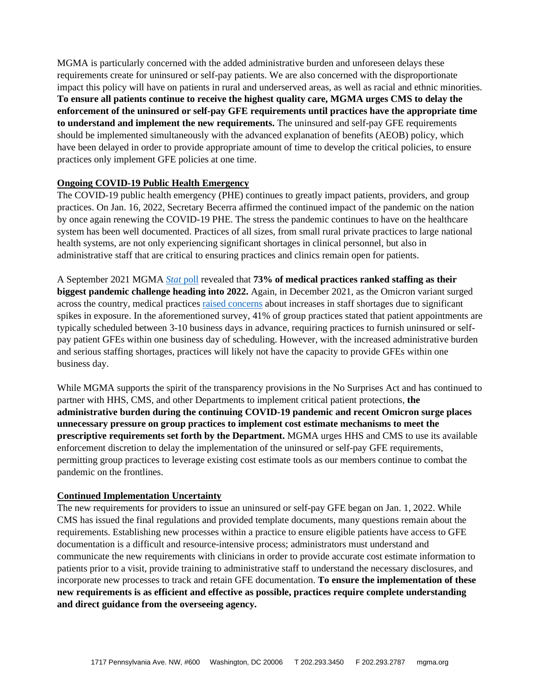MGMA is particularly concerned with the added administrative burden and unforeseen delays these requirements create for uninsured or self-pay patients. We are also concerned with the disproportionate impact this policy will have on patients in rural and underserved areas, as well as racial and ethnic minorities. **To ensure all patients continue to receive the highest quality care, MGMA urges CMS to delay the enforcement of the uninsured or self-pay GFE requirements until practices have the appropriate time to understand and implement the new requirements.** The uninsured and self-pay GFE requirements should be implemented simultaneously with the advanced explanation of benefits (AEOB) policy, which have been delayed in order to provide appropriate amount of time to develop the critical policies, to ensure practices only implement GFE policies at one time.

### **Ongoing COVID-19 Public Health Emergency**

The COVID-19 public health emergency (PHE) continues to greatly impact patients, providers, and group practices. On Jan. 16, 2022, Secretary Becerra affirmed the continued impact of the pandemic on the nation by once again renewing the COVID-19 PHE. The stress the pandemic continues to have on the healthcare system has been well documented. Practices of all sizes, from small rural private practices to large national health systems, are not only experiencing significant shortages in clinical personnel, but also in administrative staff that are critical to ensuring practices and clinics remain open for patients.

A September 2021 MGMA *[Stat](https://www.mgma.com/stat-092321)* [poll](https://www.mgma.com/stat-092321) revealed that **73% of medical practices ranked staffing as their biggest pandemic challenge heading into 2022.** Again, in December 2021, as the Omicron variant surged across the country, medical practice[s raised concerns](https://www.mgma.com/data/data-stories/omicron%E2%80%99s-holiday-surge-causes-a-perfect-storm-for) about increases in staff shortages due to significant spikes in exposure. In the aforementioned survey, 41% of group practices stated that patient appointments are typically scheduled between 3-10 business days in advance, requiring practices to furnish uninsured or selfpay patient GFEs within one business day of scheduling. However, with the increased administrative burden and serious staffing shortages, practices will likely not have the capacity to provide GFEs within one business day.

While MGMA supports the spirit of the transparency provisions in the No Surprises Act and has continued to partner with HHS, CMS, and other Departments to implement critical patient protections, **the administrative burden during the continuing COVID-19 pandemic and recent Omicron surge places unnecessary pressure on group practices to implement cost estimate mechanisms to meet the prescriptive requirements set forth by the Department.** MGMA urges HHS and CMS to use its available enforcement discretion to delay the implementation of the uninsured or self-pay GFE requirements, permitting group practices to leverage existing cost estimate tools as our members continue to combat the pandemic on the frontlines.

### **Continued Implementation Uncertainty**

The new requirements for providers to issue an uninsured or self-pay GFE began on Jan. 1, 2022. While CMS has issued the final regulations and provided template documents, many questions remain about the requirements. Establishing new processes within a practice to ensure eligible patients have access to GFE documentation is a difficult and resource-intensive process; administrators must understand and communicate the new requirements with clinicians in order to provide accurate cost estimate information to patients prior to a visit, provide training to administrative staff to understand the necessary disclosures, and incorporate new processes to track and retain GFE documentation. **To ensure the implementation of these new requirements is as efficient and effective as possible, practices require complete understanding and direct guidance from the overseeing agency.**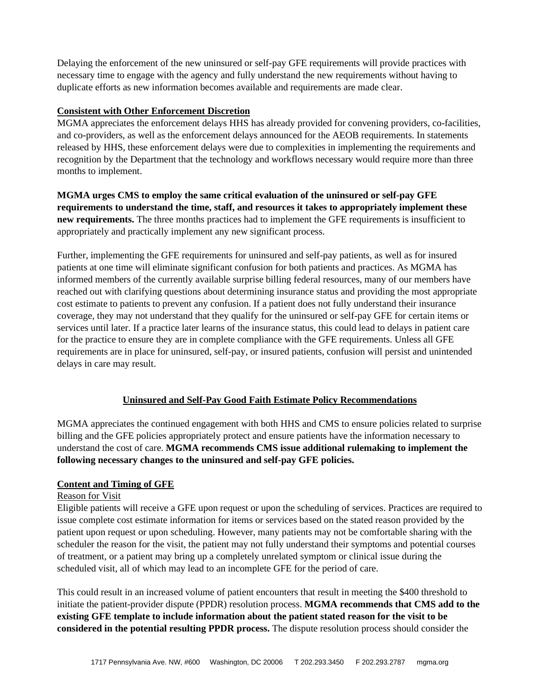Delaying the enforcement of the new uninsured or self-pay GFE requirements will provide practices with necessary time to engage with the agency and fully understand the new requirements without having to duplicate efforts as new information becomes available and requirements are made clear.

# **Consistent with Other Enforcement Discretion**

MGMA appreciates the enforcement delays HHS has already provided for convening providers, co-facilities, and co-providers, as well as the enforcement delays announced for the AEOB requirements. In statements released by HHS, these enforcement delays were due to complexities in implementing the requirements and recognition by the Department that the technology and workflows necessary would require more than three months to implement.

**MGMA urges CMS to employ the same critical evaluation of the uninsured or self-pay GFE requirements to understand the time, staff, and resources it takes to appropriately implement these new requirements.** The three months practices had to implement the GFE requirements is insufficient to appropriately and practically implement any new significant process.

Further, implementing the GFE requirements for uninsured and self-pay patients, as well as for insured patients at one time will eliminate significant confusion for both patients and practices. As MGMA has informed members of the currently available surprise billing federal resources, many of our members have reached out with clarifying questions about determining insurance status and providing the most appropriate cost estimate to patients to prevent any confusion. If a patient does not fully understand their insurance coverage, they may not understand that they qualify for the uninsured or self-pay GFE for certain items or services until later. If a practice later learns of the insurance status, this could lead to delays in patient care for the practice to ensure they are in complete compliance with the GFE requirements. Unless all GFE requirements are in place for uninsured, self-pay, or insured patients, confusion will persist and unintended delays in care may result.

# **Uninsured and Self-Pay Good Faith Estimate Policy Recommendations**

MGMA appreciates the continued engagement with both HHS and CMS to ensure policies related to surprise billing and the GFE policies appropriately protect and ensure patients have the information necessary to understand the cost of care. **MGMA recommends CMS issue additional rulemaking to implement the following necessary changes to the uninsured and self-pay GFE policies.**

### **Content and Timing of GFE**

#### Reason for Visit

Eligible patients will receive a GFE upon request or upon the scheduling of services. Practices are required to issue complete cost estimate information for items or services based on the stated reason provided by the patient upon request or upon scheduling. However, many patients may not be comfortable sharing with the scheduler the reason for the visit, the patient may not fully understand their symptoms and potential courses of treatment, or a patient may bring up a completely unrelated symptom or clinical issue during the scheduled visit, all of which may lead to an incomplete GFE for the period of care.

This could result in an increased volume of patient encounters that result in meeting the \$400 threshold to initiate the patient-provider dispute (PPDR) resolution process. **MGMA recommends that CMS add to the existing GFE template to include information about the patient stated reason for the visit to be considered in the potential resulting PPDR process.** The dispute resolution process should consider the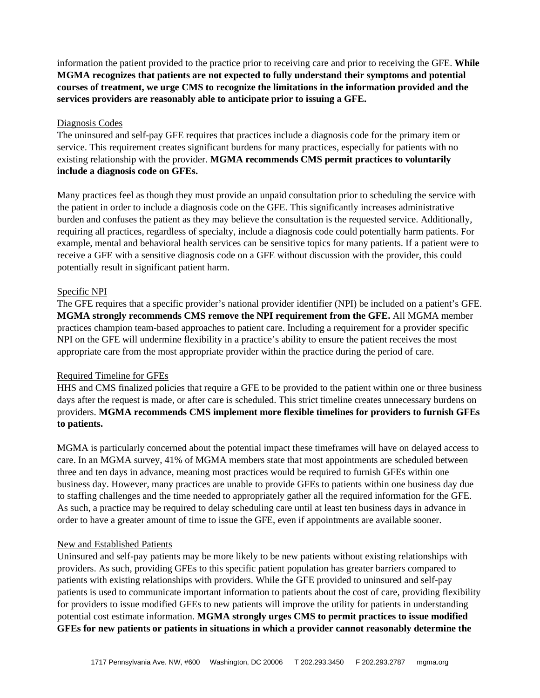information the patient provided to the practice prior to receiving care and prior to receiving the GFE. **While MGMA recognizes that patients are not expected to fully understand their symptoms and potential courses of treatment, we urge CMS to recognize the limitations in the information provided and the services providers are reasonably able to anticipate prior to issuing a GFE.**

#### Diagnosis Codes

The uninsured and self-pay GFE requires that practices include a diagnosis code for the primary item or service. This requirement creates significant burdens for many practices, especially for patients with no existing relationship with the provider. **MGMA recommends CMS permit practices to voluntarily include a diagnosis code on GFEs.**

Many practices feel as though they must provide an unpaid consultation prior to scheduling the service with the patient in order to include a diagnosis code on the GFE. This significantly increases administrative burden and confuses the patient as they may believe the consultation is the requested service. Additionally, requiring all practices, regardless of specialty, include a diagnosis code could potentially harm patients. For example, mental and behavioral health services can be sensitive topics for many patients. If a patient were to receive a GFE with a sensitive diagnosis code on a GFE without discussion with the provider, this could potentially result in significant patient harm.

#### Specific NPI

The GFE requires that a specific provider's national provider identifier (NPI) be included on a patient's GFE. **MGMA strongly recommends CMS remove the NPI requirement from the GFE.** All MGMA member practices champion team-based approaches to patient care. Including a requirement for a provider specific NPI on the GFE will undermine flexibility in a practice's ability to ensure the patient receives the most appropriate care from the most appropriate provider within the practice during the period of care.

### Required Timeline for GFEs

HHS and CMS finalized policies that require a GFE to be provided to the patient within one or three business days after the request is made, or after care is scheduled. This strict timeline creates unnecessary burdens on providers. **MGMA recommends CMS implement more flexible timelines for providers to furnish GFEs to patients.**

MGMA is particularly concerned about the potential impact these timeframes will have on delayed access to care. In an MGMA survey, 41% of MGMA members state that most appointments are scheduled between three and ten days in advance, meaning most practices would be required to furnish GFEs within one business day. However, many practices are unable to provide GFEs to patients within one business day due to staffing challenges and the time needed to appropriately gather all the required information for the GFE. As such, a practice may be required to delay scheduling care until at least ten business days in advance in order to have a greater amount of time to issue the GFE, even if appointments are available sooner.

#### New and Established Patients

Uninsured and self-pay patients may be more likely to be new patients without existing relationships with providers. As such, providing GFEs to this specific patient population has greater barriers compared to patients with existing relationships with providers. While the GFE provided to uninsured and self-pay patients is used to communicate important information to patients about the cost of care, providing flexibility for providers to issue modified GFEs to new patients will improve the utility for patients in understanding potential cost estimate information. **MGMA strongly urges CMS to permit practices to issue modified GFEs for new patients or patients in situations in which a provider cannot reasonably determine the**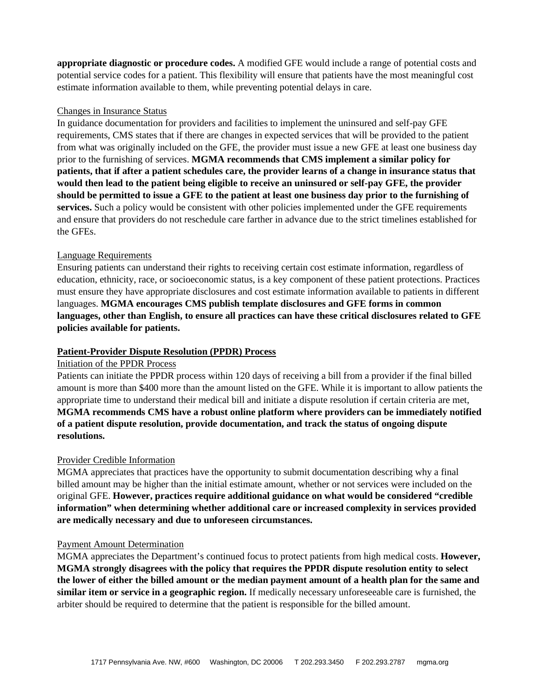**appropriate diagnostic or procedure codes.** A modified GFE would include a range of potential costs and potential service codes for a patient. This flexibility will ensure that patients have the most meaningful cost estimate information available to them, while preventing potential delays in care.

## Changes in Insurance Status

In guidance documentation for providers and facilities to implement the uninsured and self-pay GFE requirements, CMS states that if there are changes in expected services that will be provided to the patient from what was originally included on the GFE, the provider must issue a new GFE at least one business day prior to the furnishing of services. **MGMA recommends that CMS implement a similar policy for patients, that if after a patient schedules care, the provider learns of a change in insurance status that would then lead to the patient being eligible to receive an uninsured or self-pay GFE, the provider should be permitted to issue a GFE to the patient at least one business day prior to the furnishing of services.** Such a policy would be consistent with other policies implemented under the GFE requirements and ensure that providers do not reschedule care farther in advance due to the strict timelines established for the GFEs.

# Language Requirements

Ensuring patients can understand their rights to receiving certain cost estimate information, regardless of education, ethnicity, race, or socioeconomic status, is a key component of these patient protections. Practices must ensure they have appropriate disclosures and cost estimate information available to patients in different languages. **MGMA encourages CMS publish template disclosures and GFE forms in common languages, other than English, to ensure all practices can have these critical disclosures related to GFE policies available for patients.** 

## **Patient-Provider Dispute Resolution (PPDR) Process**

### Initiation of the PPDR Process

Patients can initiate the PPDR process within 120 days of receiving a bill from a provider if the final billed amount is more than \$400 more than the amount listed on the GFE. While it is important to allow patients the appropriate time to understand their medical bill and initiate a dispute resolution if certain criteria are met, **MGMA recommends CMS have a robust online platform where providers can be immediately notified of a patient dispute resolution, provide documentation, and track the status of ongoing dispute resolutions.**

### Provider Credible Information

MGMA appreciates that practices have the opportunity to submit documentation describing why a final billed amount may be higher than the initial estimate amount, whether or not services were included on the original GFE. **However, practices require additional guidance on what would be considered "credible information" when determining whether additional care or increased complexity in services provided are medically necessary and due to unforeseen circumstances.**

### Payment Amount Determination

MGMA appreciates the Department's continued focus to protect patients from high medical costs. **However, MGMA strongly disagrees with the policy that requires the PPDR dispute resolution entity to select the lower of either the billed amount or the median payment amount of a health plan for the same and similar item or service in a geographic region.** If medically necessary unforeseeable care is furnished, the arbiter should be required to determine that the patient is responsible for the billed amount.